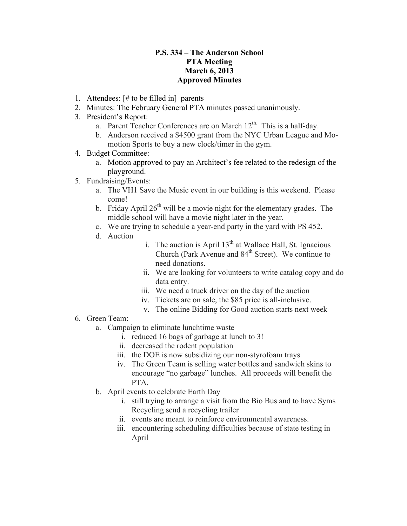## **P.S. 334 – The Anderson School PTA Meeting March 6, 2013 Approved Minutes**

- 1. Attendees: [# to be filled in] parents
- 2. Minutes: The February General PTA minutes passed unanimously.
- 3. President's Report:
	- a. Parent Teacher Conferences are on March  $12<sup>th</sup>$ . This is a half-day.
	- b. Anderson received a \$4500 grant from the NYC Urban League and Momotion Sports to buy a new clock/timer in the gym.
- 4. Budget Committee:
	- a. Motion approved to pay an Architect's fee related to the redesign of the playground.
- 5. Fundraising/Events:
	- a. The VH1 Save the Music event in our building is this weekend. Please come!
	- b. Friday April  $26<sup>th</sup>$  will be a movie night for the elementary grades. The middle school will have a movie night later in the year.
	- c. We are trying to schedule a year-end party in the yard with PS 452.
	- d. Auction
- i. The auction is April  $13<sup>th</sup>$  at Wallace Hall, St. Ignacious Church (Park Avenue and 84<sup>th</sup> Street). We continue to need donations.
- ii. We are looking for volunteers to write catalog copy and do data entry.
- iii. We need a truck driver on the day of the auction
- iv. Tickets are on sale, the \$85 price is all-inclusive.
- v. The online Bidding for Good auction starts next week
- 6. Green Team:
	- a. Campaign to eliminate lunchtime waste
		- i. reduced 16 bags of garbage at lunch to 3!
		- ii. decreased the rodent population
		- iii. the DOE is now subsidizing our non-styrofoam trays
		- iv. The Green Team is selling water bottles and sandwich skins to encourage "no garbage" lunches. All proceeds will benefit the PTA.
	- b. April events to celebrate Earth Day
		- i. still trying to arrange a visit from the Bio Bus and to have Syms Recycling send a recycling trailer
		- ii. events are meant to reinforce environmental awareness.
		- iii. encountering scheduling difficulties because of state testing in April